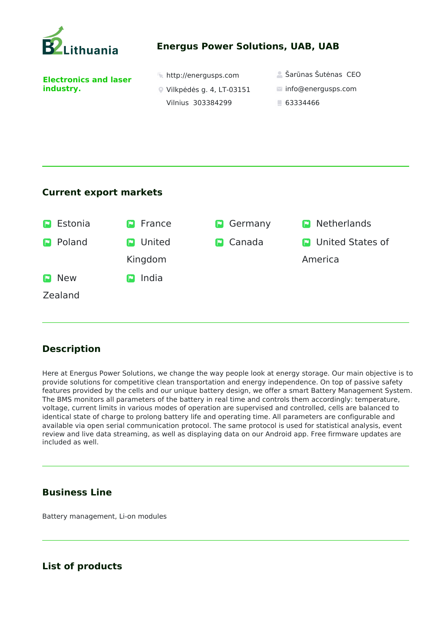

### **Energus Power Solutions, UAB, UAB**

**Electronics and laser industry.** 

|  |  | http://energusps.com |
|--|--|----------------------|
|--|--|----------------------|

- Vilkpėdės g. 4, LT-03151
	- Vilnius 303384299
- $\triangle$  Šarūnas Šutėnas CEO
- info@energusps.com
- 63334466

#### **Current export markets**



# **Description**

Here at Energus Power Solutions, we change the way people look at energy storage. Our main objective is to provide solutions for competitive clean transportation and energy independence. On top of passive safety features provided by the cells and our unique battery design, we offer a smart Battery Management System. The BMS monitors all parameters of the battery in real time and controls them accordingly: temperature, voltage, current limits in various modes of operation are supervised and controlled, cells are balanced to identical state of charge to prolong battery life and operating time. All parameters are configurable and available via open serial communication protocol. The same protocol is used for statistical analysis, event review and live data streaming, as well as displaying data on our Android app. Free firmware updates are included as well.

# **Business Line**

Battery management, Li-on modules

# **List of products**